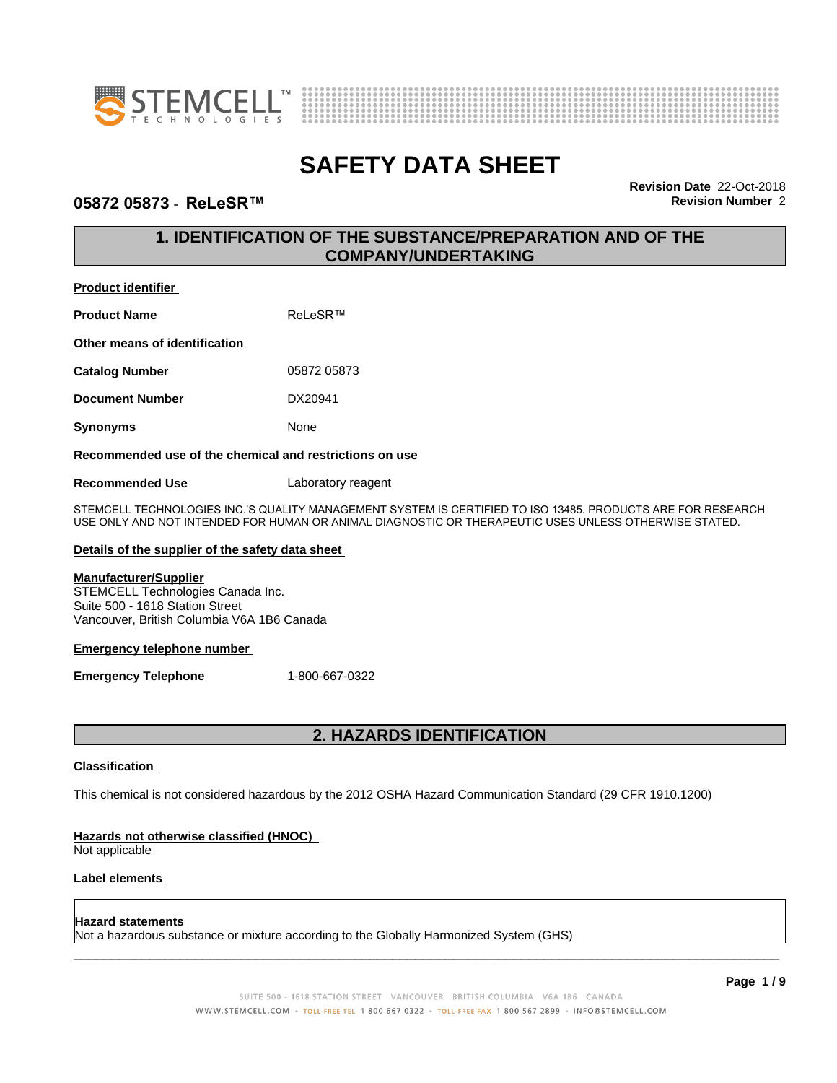



### **05872 05873** - **ReLeSR™ Revision Number** 2

**Revision Date** 22-Oct-2018

# **1. IDENTIFICATION OF THE SUBSTANCE/PREPARATION AND OF THE COMPANY/UNDERTAKING**

### **Product identifier**

| <b>Product Name</b>           | ReLeSR™     |  |
|-------------------------------|-------------|--|
| Other means of identification |             |  |
| <b>Catalog Number</b>         | 05872 05873 |  |
| <b>Document Number</b>        | DX20941     |  |
| <b>Synonyms</b>               | None        |  |

### **Recommended use of the chemical and restrictions on use**

**Recommended Use** Laboratory reagent

STEMCELL TECHNOLOGIES INC.'S QUALITY MANAGEMENT SYSTEM IS CERTIFIED TO ISO 13485. PRODUCTS ARE FOR RESEARCH USE ONLY AND NOT INTENDED FOR HUMAN OR ANIMAL DIAGNOSTIC OR THERAPEUTIC USES UNLESS OTHERWISE STATED.

### **Details of the supplier of the safety data sheet**

### **Manufacturer/Supplier**

STEMCELL Technologies Canada Inc. Suite 500 - 1618 Station Street Vancouver, British Columbia V6A 1B6 Canada

### **Emergency telephone number**

**Emergency Telephone** 1-800-667-0322

# **2. HAZARDS IDENTIFICATION**

### **Classification**

This chemical is not considered hazardous by the 2012 OSHA Hazard Communication Standard (29 CFR 1910.1200)

### **Hazards not otherwise classified (HNOC)**

Not applicable

### **Label elements**

#### **Hazard statements**

Not a hazardous substance or mixture according to the Globally Harmonized System (GHS)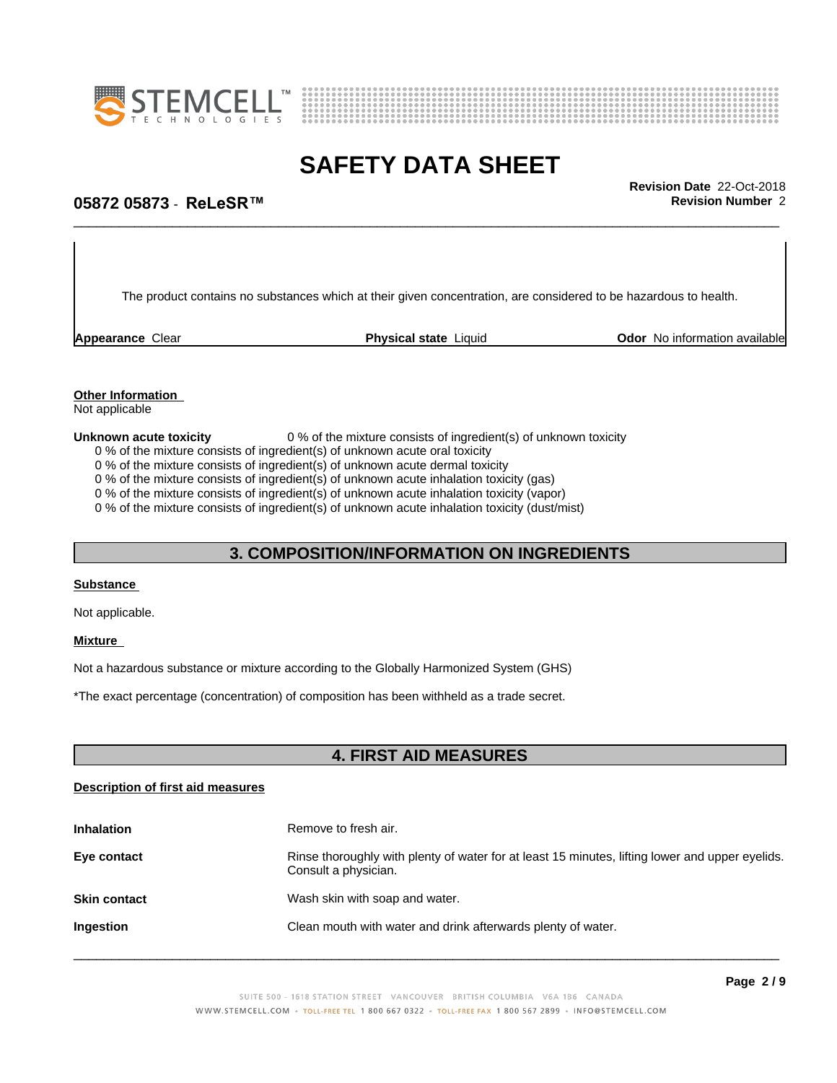



\_\_\_\_\_\_\_\_\_\_\_\_\_\_\_\_\_\_\_\_\_\_\_\_\_\_\_\_\_\_\_\_\_\_\_\_\_\_\_\_\_\_\_\_\_\_\_\_\_\_\_\_\_\_\_\_\_\_\_\_\_\_\_\_\_\_\_\_\_\_\_\_\_\_\_\_\_\_\_\_\_\_\_\_\_\_\_\_\_\_\_\_\_ **Revision Date** 22-Oct-2018

## **05872 05873** - **ReLeSR™ Revision Number** 2

The product contains no substances which at their given concentration, are considered to be hazardous to health.

**Appearance** Clear **Physical state** Liquid **Odor No information available Appearance** Clear

# **Other Information**

Not applicable

### **Unknown acute toxicity** 0 % of the mixture consists of ingredient(s) of unknown toxicity

0 % of the mixture consists of ingredient(s) of unknown acute oral toxicity

0 % of the mixture consists of ingredient(s) of unknown acute dermal toxicity

0 % of the mixture consists of ingredient(s) of unknown acute inhalation toxicity (gas)

0 % of the mixture consists of ingredient(s) of unknown acute inhalation toxicity (vapor)

0 % of the mixture consists of ingredient(s) of unknown acute inhalation toxicity (dust/mist)

### **3. COMPOSITION/INFORMATION ON INGREDIENTS**

#### **Substance**

Not applicable.

### **Mixture**

Not a hazardous substance or mixture according to the Globally Harmonized System (GHS)

\*The exact percentage (concentration) ofcomposition has been withheld as a trade secret.

### **4. FIRST AID MEASURES**

### **Description of first aid measures**

| <b>Inhalation</b>   | Remove to fresh air.                                                                                                    |
|---------------------|-------------------------------------------------------------------------------------------------------------------------|
| Eye contact         | Rinse thoroughly with plenty of water for at least 15 minutes, lifting lower and upper eyelids.<br>Consult a physician. |
| <b>Skin contact</b> | Wash skin with soap and water.                                                                                          |
| Ingestion           | Clean mouth with water and drink afterwards plenty of water.                                                            |
|                     |                                                                                                                         |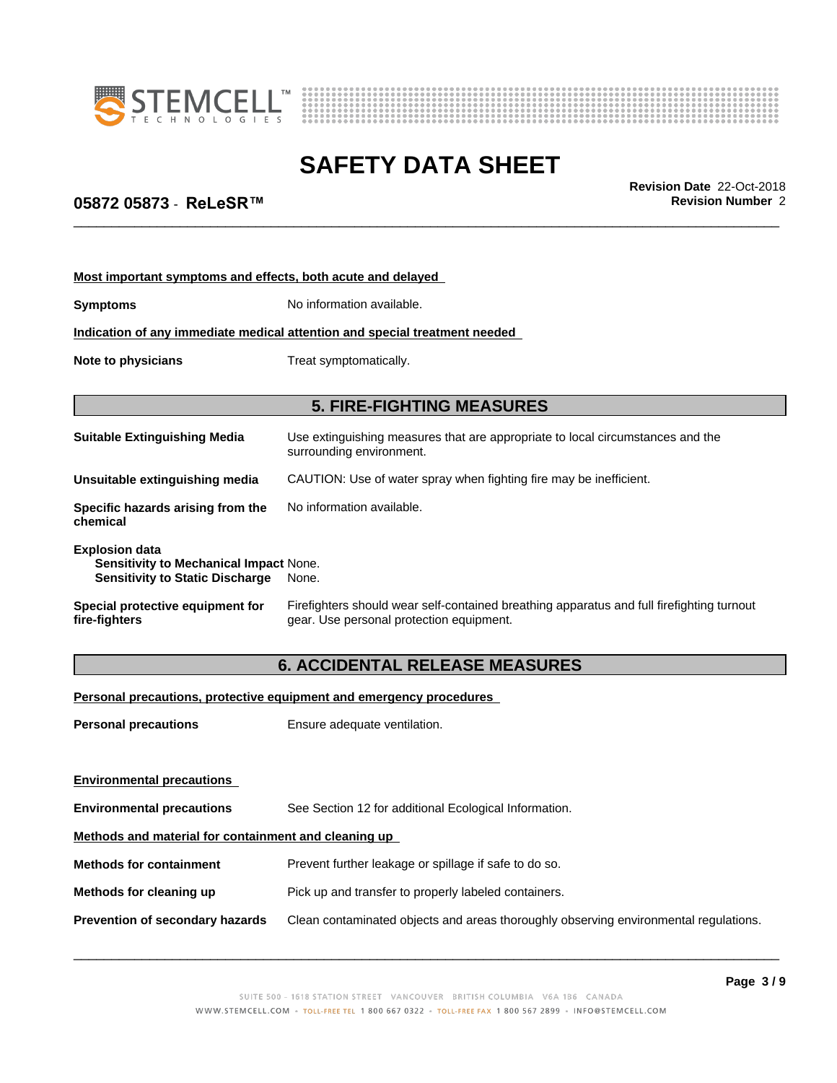



\_\_\_\_\_\_\_\_\_\_\_\_\_\_\_\_\_\_\_\_\_\_\_\_\_\_\_\_\_\_\_\_\_\_\_\_\_\_\_\_\_\_\_\_\_\_\_\_\_\_\_\_\_\_\_\_\_\_\_\_\_\_\_\_\_\_\_\_\_\_\_\_\_\_\_\_\_\_\_\_\_\_\_\_\_\_\_\_\_\_\_\_\_ **Revision Date** 22-Oct-2018

# **05872 05873** - **ReLeSR™ Revision Number** 2

| Most important symptoms and effects, both acute and delayed                                               |                                                                                                                                       |  |  |  |
|-----------------------------------------------------------------------------------------------------------|---------------------------------------------------------------------------------------------------------------------------------------|--|--|--|
| <b>Symptoms</b>                                                                                           | No information available.                                                                                                             |  |  |  |
|                                                                                                           | Indication of any immediate medical attention and special treatment needed                                                            |  |  |  |
| Note to physicians                                                                                        | Treat symptomatically.                                                                                                                |  |  |  |
|                                                                                                           | <b>5. FIRE-FIGHTING MEASURES</b>                                                                                                      |  |  |  |
| <b>Suitable Extinguishing Media</b>                                                                       | Use extinguishing measures that are appropriate to local circumstances and the<br>surrounding environment.                            |  |  |  |
| Unsuitable extinguishing media                                                                            | CAUTION: Use of water spray when fighting fire may be inefficient.                                                                    |  |  |  |
| Specific hazards arising from the<br>chemical                                                             | No information available.                                                                                                             |  |  |  |
| <b>Explosion data</b><br>Sensitivity to Mechanical Impact None.<br><b>Sensitivity to Static Discharge</b> | None.                                                                                                                                 |  |  |  |
| Special protective equipment for<br>fire-fighters                                                         | Firefighters should wear self-contained breathing apparatus and full firefighting turnout<br>gear. Use personal protection equipment. |  |  |  |
|                                                                                                           | <b>6. ACCIDENTAL RELEASE MEASURES</b>                                                                                                 |  |  |  |

**Personal precautions, protective equipment and emergency procedures**

| <b>Personal precautions</b>                          | Ensure adequate ventilation.                                                         |  |
|------------------------------------------------------|--------------------------------------------------------------------------------------|--|
| <b>Environmental precautions</b>                     |                                                                                      |  |
| <b>Environmental precautions</b>                     | See Section 12 for additional Ecological Information.                                |  |
| Methods and material for containment and cleaning up |                                                                                      |  |
| <b>Methods for containment</b>                       | Prevent further leakage or spillage if safe to do so.                                |  |
| Methods for cleaning up                              | Pick up and transfer to properly labeled containers.                                 |  |
| <b>Prevention of secondary hazards</b>               | Clean contaminated objects and areas thoroughly observing environmental regulations. |  |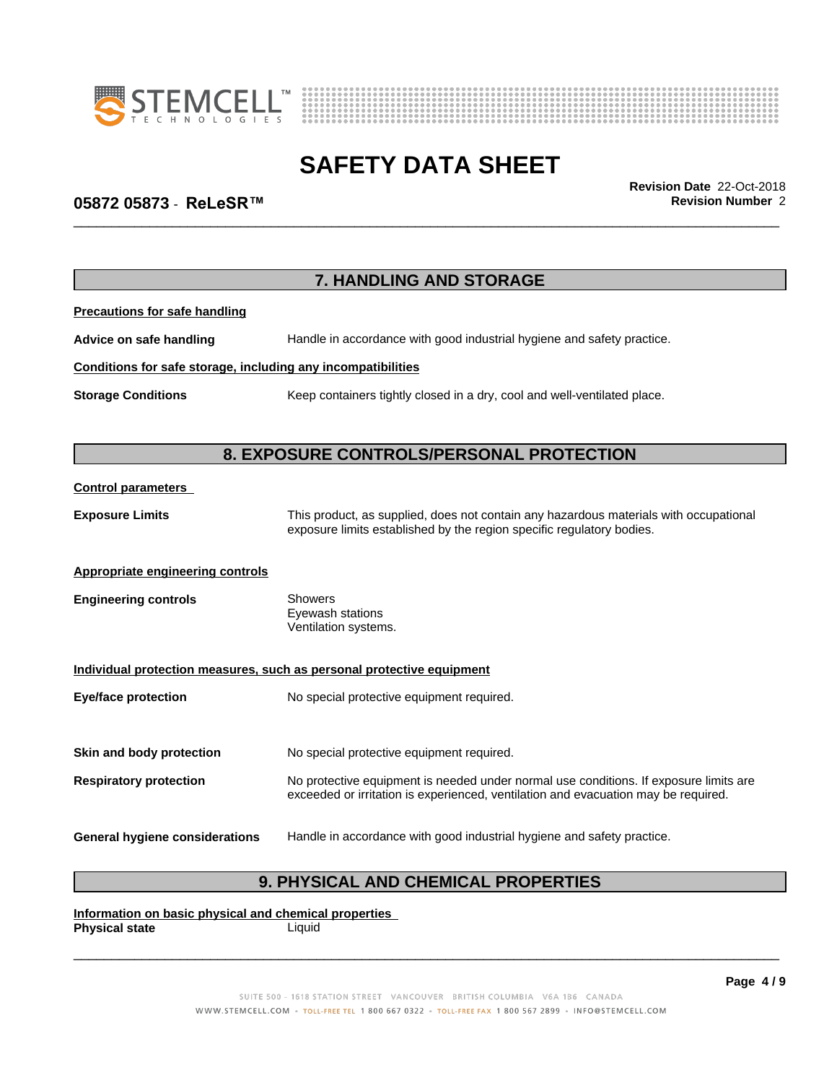



\_\_\_\_\_\_\_\_\_\_\_\_\_\_\_\_\_\_\_\_\_\_\_\_\_\_\_\_\_\_\_\_\_\_\_\_\_\_\_\_\_\_\_\_\_\_\_\_\_\_\_\_\_\_\_\_\_\_\_\_\_\_\_\_\_\_\_\_\_\_\_\_\_\_\_\_\_\_\_\_\_\_\_\_\_\_\_\_\_\_\_\_\_ **Revision Date** 22-Oct-2018

# **05872 05873** - **ReLeSR™ Revision Number** 2

|                                                              | 7. HANDLING AND STORAGE                                                                                                                                                     |  |
|--------------------------------------------------------------|-----------------------------------------------------------------------------------------------------------------------------------------------------------------------------|--|
| <b>Precautions for safe handling</b>                         |                                                                                                                                                                             |  |
| Advice on safe handling                                      | Handle in accordance with good industrial hygiene and safety practice.                                                                                                      |  |
| Conditions for safe storage, including any incompatibilities |                                                                                                                                                                             |  |
| <b>Storage Conditions</b>                                    | Keep containers tightly closed in a dry, cool and well-ventilated place.                                                                                                    |  |
|                                                              | 8. EXPOSURE CONTROLS/PERSONAL PROTECTION                                                                                                                                    |  |
| <b>Control parameters</b>                                    |                                                                                                                                                                             |  |
| <b>Exposure Limits</b>                                       | This product, as supplied, does not contain any hazardous materials with occupational<br>exposure limits established by the region specific regulatory bodies.              |  |
| <b>Appropriate engineering controls</b>                      |                                                                                                                                                                             |  |
| <b>Engineering controls</b>                                  | <b>Showers</b><br>Eyewash stations<br>Ventilation systems.                                                                                                                  |  |
|                                                              | Individual protection measures, such as personal protective equipment                                                                                                       |  |
| <b>Eye/face protection</b>                                   | No special protective equipment required.                                                                                                                                   |  |
| Skin and body protection                                     | No special protective equipment required.                                                                                                                                   |  |
| <b>Respiratory protection</b>                                | No protective equipment is needed under normal use conditions. If exposure limits are<br>exceeded or irritation is experienced, ventilation and evacuation may be required. |  |
| <b>General hygiene considerations</b>                        | Handle in accordance with good industrial hygiene and safety practice.                                                                                                      |  |

# **9. PHYSICAL AND CHEMICAL PROPERTIES**

**Information on basic physical and chemical properties Physical state**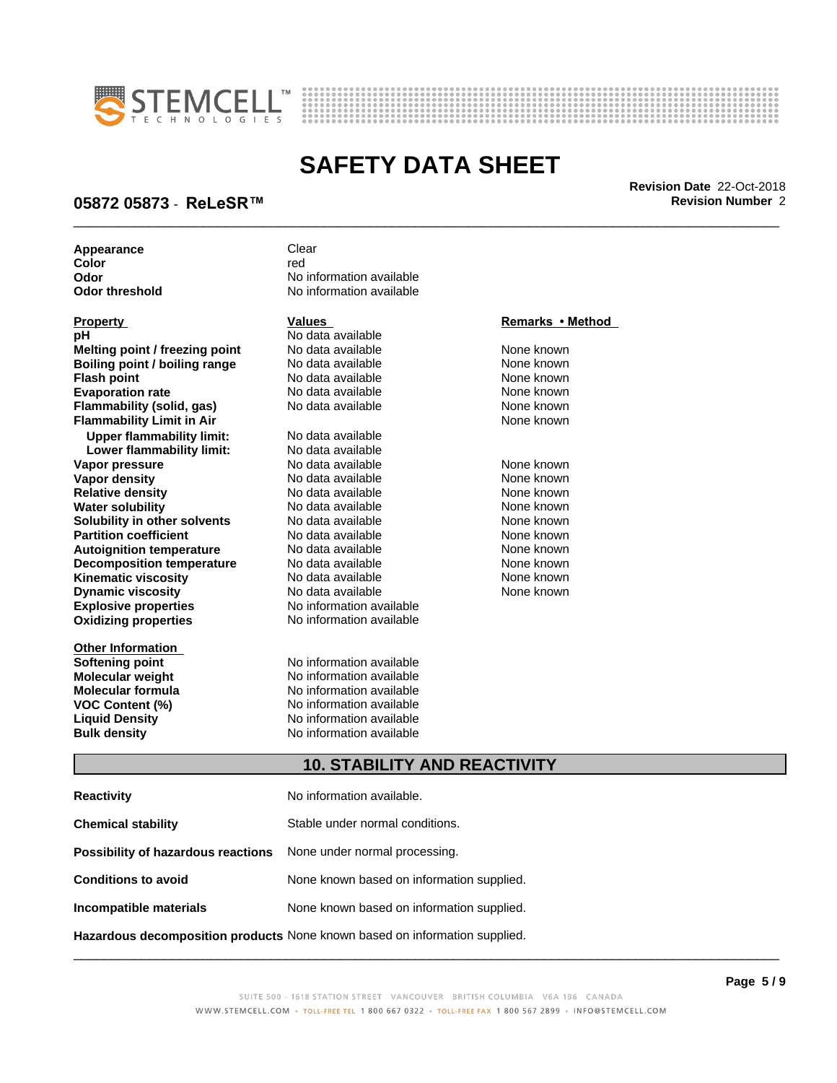



\_\_\_\_\_\_\_\_\_\_\_\_\_\_\_\_\_\_\_\_\_\_\_\_\_\_\_\_\_\_\_\_\_\_\_\_\_\_\_\_\_\_\_\_\_\_\_\_\_\_\_\_\_\_\_\_\_\_\_\_\_\_\_\_\_\_\_\_\_\_\_\_\_\_\_\_\_\_\_\_\_\_\_\_\_\_\_\_\_\_\_\_\_ **Revision Date** 22-Oct-2018

### **05872 05873** - **ReLeSR™ Revision Number** 2

**Appearance** Clear

**Explosive properties** No information available **Oxidizing properties** No information available **pH** No data available **Melting point / freezing point** No data available None known **Boiling point / boiling range No data available None known Flash point**<br> **Flash point**<br> **Evaporation rate** No data available None known<br>
None known **Evaporation rate Conservential School and None Conservential Arist Arist Conservential Conservential Arist Mone known**<br> **Flammability (solid. gas)** No data available **None known Flammability (solid, gas)** No data available None known<br> **Flammability Limit in Air** None Known **Flammability Limit in Air Upper flammability limit:** No data available **Lower flammability limit: Vapor pressure Example 20 No data available None known Wapor density Cone Research Property None known Vapor density**<br>
No data available None known None known None known None known None known None known None known None kn **Relative density No data available None known**<br> **Water solubility No data available None known**<br>
No data available **Water solubility No data available**<br> **Solubility in other solvents** No data available **Solubility in other solvents** No data available **None known**<br> **Partition coefficient** No data available None known **Partition coefficient**<br> **Autoignition temperature** No data available None known<br>
None known **Autoignition temperature No data available None known**<br> **Decomposition temperature** No data available **None known**<br>
None known **Decomposition temperature** No data available None known<br> **Kinematic viscosity** No data available None known **Kinematic viscosity Dynamic viscosity No data available None known** 

**Other Information**

**Color** red red **Color Odor Odor** No information available<br> **Odor threshold No information available No information available** 

**Vapor density None known<br>No data available None known** 

**Softening point No information available**<br> **Molecular weight No information available Molecular weight Molecular is a structure of the No information available Molecular formula Molecular System Molecular formula** No information available<br> **VOC Content (%)** No information available **VOC Content (%)** No information available **Liquid Density** No information available **Bulk density** No information available

### **Property Remarks • Method Values Remarks • Method**

### **10. STABILITY AND REACTIVITY**

| <b>Reactivity</b>                  | No information available.                 |  |
|------------------------------------|-------------------------------------------|--|
| <b>Chemical stability</b>          | Stable under normal conditions.           |  |
| Possibility of hazardous reactions | None under normal processing.             |  |
| <b>Conditions to avoid</b>         | None known based on information supplied. |  |
| Incompatible materials             | None known based on information supplied. |  |
|                                    |                                           |  |

**Hazardous decomposition products** None known based on information supplied.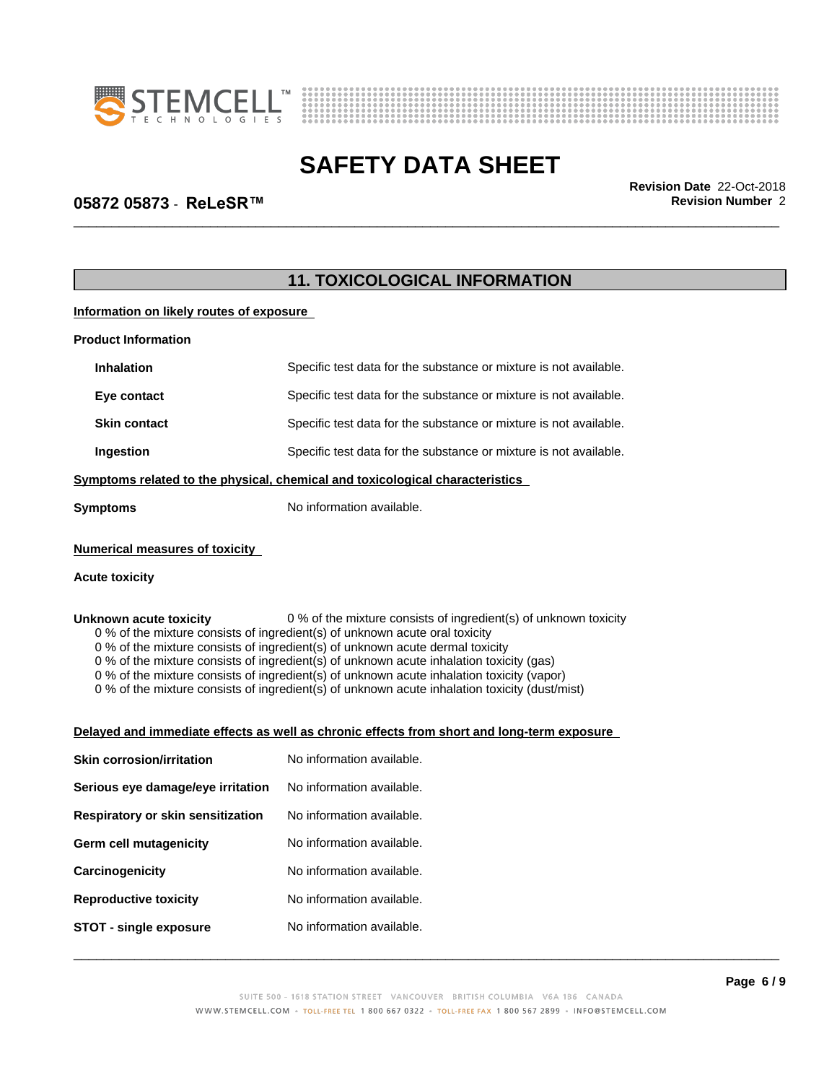



\_\_\_\_\_\_\_\_\_\_\_\_\_\_\_\_\_\_\_\_\_\_\_\_\_\_\_\_\_\_\_\_\_\_\_\_\_\_\_\_\_\_\_\_\_\_\_\_\_\_\_\_\_\_\_\_\_\_\_\_\_\_\_\_\_\_\_\_\_\_\_\_\_\_\_\_\_\_\_\_\_\_\_\_\_\_\_\_\_\_\_\_\_ **Revision Date** 22-Oct-2018

# **05872 05873** - **ReLeSR™ Revision Number** 2

|                                          | <b>11. TOXICOLOGICAL INFORMATION</b>                                                                                                                                                                                                                                                                                                                                                                                                                                 |  |
|------------------------------------------|----------------------------------------------------------------------------------------------------------------------------------------------------------------------------------------------------------------------------------------------------------------------------------------------------------------------------------------------------------------------------------------------------------------------------------------------------------------------|--|
| Information on likely routes of exposure |                                                                                                                                                                                                                                                                                                                                                                                                                                                                      |  |
| <b>Product Information</b>               |                                                                                                                                                                                                                                                                                                                                                                                                                                                                      |  |
| <b>Inhalation</b>                        | Specific test data for the substance or mixture is not available.                                                                                                                                                                                                                                                                                                                                                                                                    |  |
| Eye contact                              | Specific test data for the substance or mixture is not available.                                                                                                                                                                                                                                                                                                                                                                                                    |  |
| <b>Skin contact</b>                      | Specific test data for the substance or mixture is not available.                                                                                                                                                                                                                                                                                                                                                                                                    |  |
| Ingestion                                | Specific test data for the substance or mixture is not available.                                                                                                                                                                                                                                                                                                                                                                                                    |  |
|                                          | Symptoms related to the physical, chemical and toxicological characteristics                                                                                                                                                                                                                                                                                                                                                                                         |  |
| <b>Symptoms</b>                          | No information available.                                                                                                                                                                                                                                                                                                                                                                                                                                            |  |
| <b>Numerical measures of toxicity</b>    |                                                                                                                                                                                                                                                                                                                                                                                                                                                                      |  |
| <b>Acute toxicity</b>                    |                                                                                                                                                                                                                                                                                                                                                                                                                                                                      |  |
|                                          | 0 % of the mixture consists of ingredient(s) of unknown toxicity<br>0 % of the mixture consists of ingredient(s) of unknown acute oral toxicity                                                                                                                                                                                                                                                                                                                      |  |
| Unknown acute toxicity                   | 0 % of the mixture consists of ingredient(s) of unknown acute dermal toxicity<br>0 % of the mixture consists of ingredient(s) of unknown acute inhalation toxicity (gas)<br>0 % of the mixture consists of ingredient(s) of unknown acute inhalation toxicity (vapor)<br>0 % of the mixture consists of ingredient(s) of unknown acute inhalation toxicity (dust/mist)<br>Delayed and immediate effects as well as chronic effects from short and long-term exposure |  |
| <b>Skin corrosion/irritation</b>         | No information available.                                                                                                                                                                                                                                                                                                                                                                                                                                            |  |
| Serious eye damage/eye irritation        | No information available.                                                                                                                                                                                                                                                                                                                                                                                                                                            |  |
| Respiratory or skin sensitization        | No information available.                                                                                                                                                                                                                                                                                                                                                                                                                                            |  |
| Germ cell mutagenicity                   | No information available.                                                                                                                                                                                                                                                                                                                                                                                                                                            |  |
| Carcinogenicity                          | No information available.                                                                                                                                                                                                                                                                                                                                                                                                                                            |  |
| <b>Reproductive toxicity</b>             | No information available.                                                                                                                                                                                                                                                                                                                                                                                                                                            |  |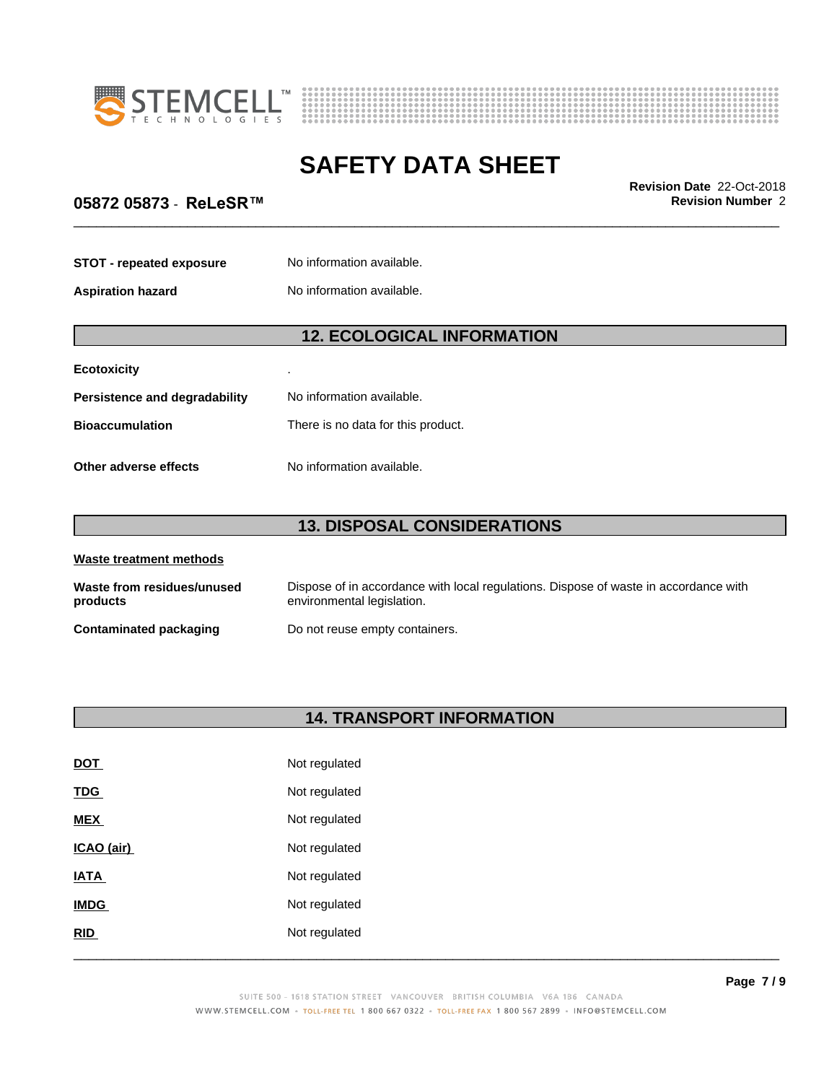



\_\_\_\_\_\_\_\_\_\_\_\_\_\_\_\_\_\_\_\_\_\_\_\_\_\_\_\_\_\_\_\_\_\_\_\_\_\_\_\_\_\_\_\_\_\_\_\_\_\_\_\_\_\_\_\_\_\_\_\_\_\_\_\_\_\_\_\_\_\_\_\_\_\_\_\_\_\_\_\_\_\_\_\_\_\_\_\_\_\_\_\_\_ **Revision Date** 22-Oct-2018

## **05872 05873** - **ReLeSR™ Revision Number** 2

| <b>STOT - repeated exposure</b> | No information available. |
|---------------------------------|---------------------------|
| <b>Aspiration hazard</b>        | No information available. |

# **12. ECOLOGICAL INFORMATION**

| <b>Ecotoxicity</b>            |                                    |
|-------------------------------|------------------------------------|
| Persistence and degradability | No information available.          |
| <b>Bioaccumulation</b>        | There is no data for this product. |
| Other adverse effects         | No information available.          |

# **13. DISPOSAL CONSIDERATIONS**

| Waste treatment methods                |                                                                                                                    |  |
|----------------------------------------|--------------------------------------------------------------------------------------------------------------------|--|
| Waste from residues/unused<br>products | Dispose of in accordance with local regulations. Dispose of waste in accordance with<br>environmental legislation. |  |
| <b>Contaminated packaging</b>          | Do not reuse empty containers.                                                                                     |  |

# **14. TRANSPORT INFORMATION**

| RID         | Not regulated |  |
|-------------|---------------|--|
| <b>IMDG</b> | Not regulated |  |
| <b>IATA</b> | Not regulated |  |
| ICAO (air)  | Not regulated |  |
| <b>MEX</b>  | Not regulated |  |
| <b>TDG</b>  | Not regulated |  |
| <b>DOT</b>  | Not regulated |  |
|             |               |  |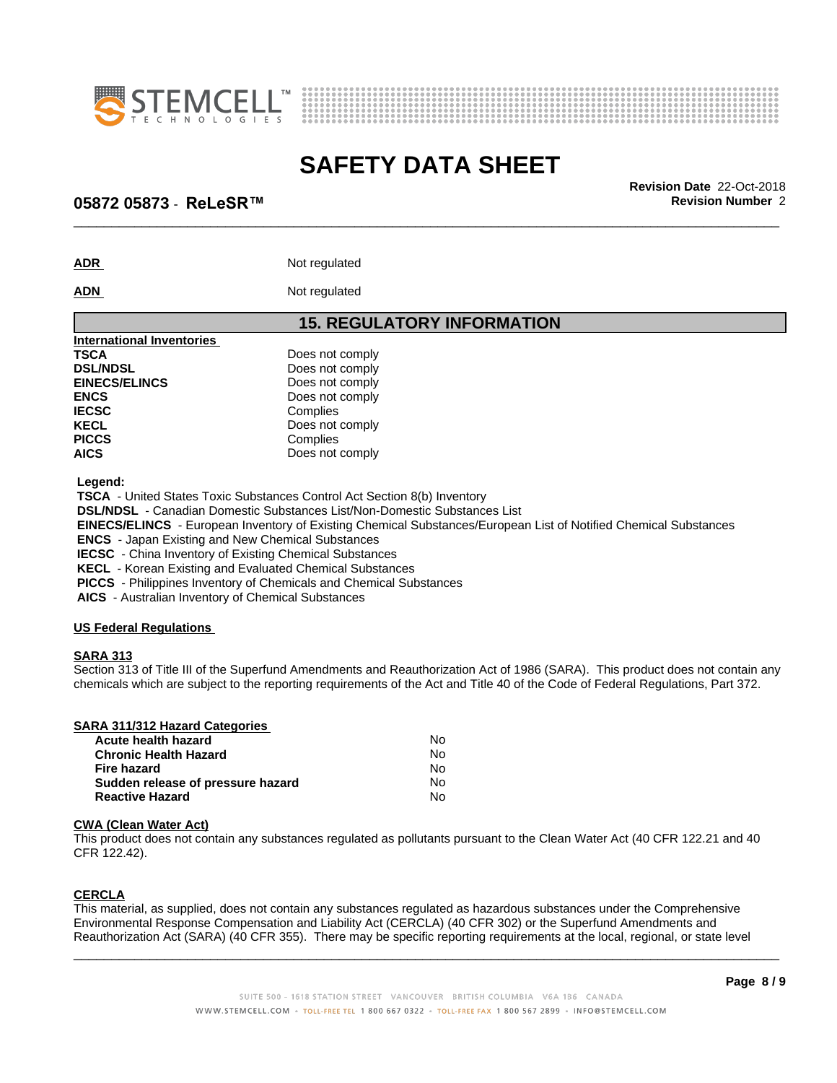



\_\_\_\_\_\_\_\_\_\_\_\_\_\_\_\_\_\_\_\_\_\_\_\_\_\_\_\_\_\_\_\_\_\_\_\_\_\_\_\_\_\_\_\_\_\_\_\_\_\_\_\_\_\_\_\_\_\_\_\_\_\_\_\_\_\_\_\_\_\_\_\_\_\_\_\_\_\_\_\_\_\_\_\_\_\_\_\_\_\_\_\_\_ **Revision Date** 22-Oct-2018

### **05872 05873** - **ReLeSR™ Revision Number** 2

ADR Not regulated

### **ADN** Not regulated

| <b>15. REGULATORY INFORMATION</b> |
|-----------------------------------|
|                                   |
| Does not comply                   |
| Does not comply                   |
| Does not comply                   |
| Does not comply                   |
| Complies                          |
| Does not comply                   |
| Complies                          |
| Does not comply                   |
|                                   |

 **Legend:**

 **TSCA** - United States Toxic Substances Control Act Section 8(b) Inventory

 **DSL/NDSL** - Canadian Domestic Substances List/Non-Domestic Substances List

 **EINECS/ELINCS** - European Inventory of Existing Chemical Substances/European List of Notified Chemical Substances

 **ENCS** - Japan Existing and New Chemical Substances

 **IECSC** - China Inventory of Existing Chemical Substances

 **KECL** - Korean Existing and Evaluated Chemical Substances

 **PICCS** - Philippines Inventory of Chemicals and Chemical Substances

 **AICS** - Australian Inventory of Chemical Substances

### **US Federal Regulations**

### **SARA 313**

Section 313 of Title III of the Superfund Amendments and Reauthorization Act of 1986 (SARA). This product does not contain any chemicals which are subject to the reporting requirements of the Act and Title 40 of the Code of Federal Regulations, Part 372.

| SARA 311/312 Hazard Categories |     |
|--------------------------------|-----|
| Acute health hazard            | No. |
| <b>Chronic Health Hazard</b>   | No. |

| <b>Chronic Health Hazard</b>      | No  |  |
|-----------------------------------|-----|--|
| Fire hazard                       | N٥  |  |
| Sudden release of pressure hazard | N٥  |  |
| <b>Reactive Hazard</b>            | No. |  |

### **CWA** (Clean Water Act)

This product does not contain any substances regulated as pollutants pursuant to the Clean Water Act (40 CFR 122.21 and 40 CFR 122.42).

### **CERCLA**

This material, as supplied, does not contain any substances regulated as hazardous substances under the Comprehensive Environmental Response Compensation and Liability Act (CERCLA) (40 CFR 302) or the Superfund Amendments and Reauthorization Act (SARA) (40 CFR 355). There may be specific reporting requirements at the local, regional, or state level